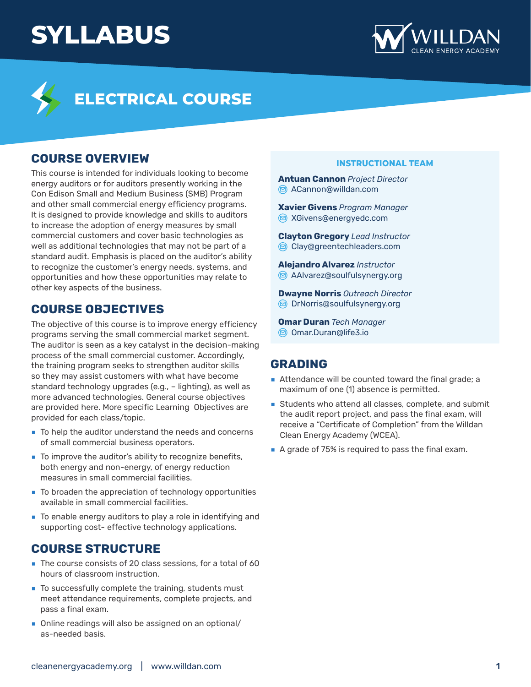# **SYLLABUS**





## **ELECTRICAL COURSE**

### **COURSE OVERVIEW**

This course is intended for individuals looking to become energy auditors or for auditors presently working in the Con Edison Small and Medium Business (SMB) Program and other small commercial energy efficiency programs. It is designed to provide knowledge and skills to auditors to increase the adoption of energy measures by small commercial customers and cover basic technologies as well as additional technologies that may not be part of a standard audit. Emphasis is placed on the auditor's ability to recognize the customer's energy needs, systems, and opportunities and how these opportunities may relate to other key aspects of the business.

### **COURSE OBJECTIVES**

The objective of this course is to improve energy efficiency programs serving the small commercial market segment. The auditor is seen as a key catalyst in the decision-making process of the small commercial customer. Accordingly, the training program seeks to strengthen auditor skills so they may assist customers with what have become standard technology upgrades (e.g., – lighting), as well as more advanced technologies. General course objectives are provided here. More specific Learning Objectives are provided for each class/topic.

- **ۢ** To help the auditor understand the needs and concerns of small commercial business operators.
- **ۢ** To improve the auditor's ability to recognize benefits, both energy and non-energy, of energy reduction measures in small commercial facilities.
- **ۢ** To broaden the appreciation of technology opportunities available in small commercial facilities.
- **ۢ** To enable energy auditors to play a role in identifying and supporting cost- effective technology applications.

### **COURSE STRUCTURE**

- The course consists of 20 class sessions, for a total of 60 hours of classroom instruction.
- To successfully complete the training, students must meet attendance requirements, complete projects, and pass a final exam.
- **ۢ** Online readings will also be assigned on an optional/ as-needed basis.

#### **INSTRUCTIONAL TEAM**

**Antuan Cannon** *Project Director* [ACannon@willdan.com](mailto:ACannon%40willdan.com?subject=)

**Xavier Givens** *Program Manager* **<del>■</del>** X[Givens@energyedc.com](mailto:xgivens%40energyedc.com?subject=)

**Clayton Gregory** *Lead Instructor* [Clay@greentechleaders.com](mailto:Clay%40greentechleaders.com?subject=)

**Alejandro Alvarez** *Instructor* AAIvarez@soulfulsynergy.org

**Dwayne Norris** *Outreach Director* O DrNorris@soulfulsynergy.org

**Omar Duran** *Tech Manager* [Omar.Duran@life3.io](mailto:Omar.Duran%40life3.io?subject=)

### **GRADING**

- **EXECUTE:** Attendance will be counted toward the final grade; a maximum of one (1) absence is permitted.
- **Students who attend all classes, complete, and submit** the audit report project, and pass the final exam, will receive a "Certificate of Completion" from the Willdan Clean Energy Academy (WCEA).
- **ۢ** A grade of 75% is required to pass the final exam.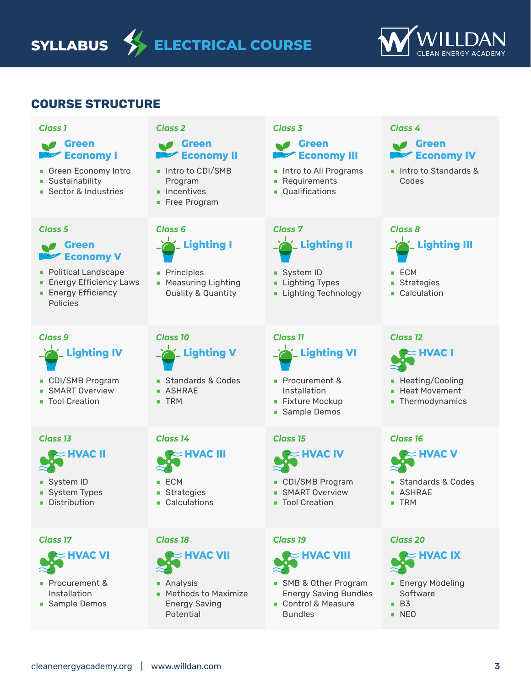**SYLLABUS ELECTRICAL COURSE**



### **COURSE STRUCTURE**

#### *Class 1*

*Class 5*

### **Green Economy I**

- **ۢ** Green Economy Intro
- **B** Sustainability

**Green** 

Policies

**Economy V ۢ** Political Landscape **Energy Efficiency Laws Energy Efficiency** 

**ۢ** Sector & Industries

### *Class 2*

**Green Economy II**

**ۢ** Intro to CDI/SMB Program

 **Lighting I**

**ۢ** Measuring Lighting Quality & Quantity

 **Lighting V**

**ۢ** Standards & Codes

 $\blacksquare$  Incentives

**ۢ** Principles

*Class 10*

*Class 6*

**ۢ** Free Program

### *Class 3*

*Class 7*

### **Green Economy III**

- **ۢ** Intro to All Programs
- **ۢ** Requirements

 **Lighting II**

**ۢ** System ID **Example 1** Lighting Types **ۢ** Lighting Technology

**ۢ** Qualifications

#### *Class 4*



**ۢ** Intro to Standards & Codes

## *Class 8*  **Lighting III**

- **ۢ** ECM
- **ۢ** Strategies
- **E** Calculation

### *Class 9*  **Lighting IV**

- **ۢ** CDI/SMB Program
- **BI** SMART Overview
- Tool Creation

### *Class 13*



- **System ID**
- **B** System Types
- **•** Distribution

*Class 17*



- **ۢ** Procurement & Installation
- **ۢ** Sample Demos

# **ۢ** TRM

**ۢ** ASHRAE

### *Class 14*



- **ۢ** ECM
- **B** Strategies
- **ۢ** Calculations

### *Class 18*



- **ۢ** Analysis
- **ۢ** Methods to Maximize Energy Saving Potential

## *Class 11*  **Lighting VI**

- **ۢ** Procurement & Installation
- **ۢ** Fixture Mockup
- **B** Sample Demos

### *Class 15*



- **ۢ** CDI/SMB Program
- **BI** SMART Overview
- Tool Creation

#### *Class 19*



- **ۢ** SMB & Other Program Energy Saving Bundles
- **ۢ** Control & Measure Bundles

### *Class 12*



- **ۢ** Heating/Cooling
- **ۢ** Heat Movement
- **•** Thermodynamics

### *Class 16*



- **ۢ** Standards & Codes
- **ۢ** ASHRAE
- **ۢ** TRM

### *Class 20*



- **ۢ** Energy Modeling Software
- **ۢ** B3
- **ۢ** NEO